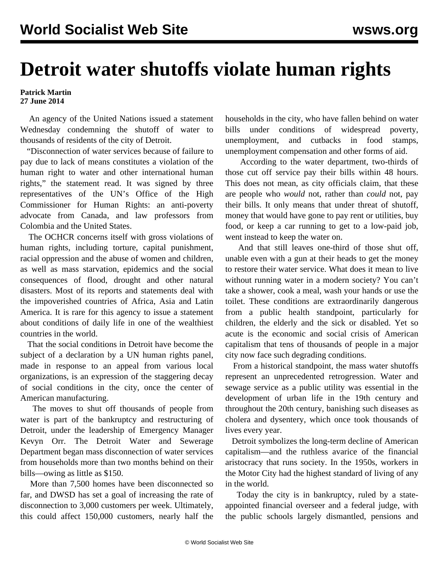## **Detroit water shutoffs violate human rights**

## **Patrick Martin 27 June 2014**

 An agency of the United Nations issued a statement Wednesday condemning the shutoff of water to thousands of residents of the city of Detroit.

 "Disconnection of water services because of failure to pay due to lack of means constitutes a violation of the human right to water and other international human rights," the statement read. It was signed by three representatives of the UN's Office of the High Commissioner for Human Rights: an anti-poverty advocate from Canada, and law professors from Colombia and the United States.

 The OCHCR concerns itself with gross violations of human rights, including torture, capital punishment, racial oppression and the abuse of women and children, as well as mass starvation, epidemics and the social consequences of flood, drought and other natural disasters. Most of its reports and statements deal with the impoverished countries of Africa, Asia and Latin America. It is rare for this agency to issue a statement about conditions of daily life in one of the wealthiest countries in the world.

 That the social conditions in Detroit have become the subject of a declaration by a UN human rights panel, made in response to an appeal from various local organizations, is an expression of the staggering decay of social conditions in the city, once the center of American manufacturing.

 The moves to shut off thousands of people from water is part of the bankruptcy and restructuring of Detroit, under the leadership of Emergency Manager Kevyn Orr. The Detroit Water and Sewerage Department began mass disconnection of water services from households more than two months behind on their bills—owing as little as \$150.

 More than 7,500 homes have been disconnected so far, and DWSD has set a goal of increasing the rate of disconnection to 3,000 customers per week. Ultimately, this could affect 150,000 customers, nearly half the households in the city, who have fallen behind on water bills under conditions of widespread poverty, unemployment, and cutbacks in food stamps, unemployment compensation and other forms of aid.

 According to the water department, two-thirds of those cut off service pay their bills within 48 hours. This does not mean, as city officials claim, that these are people who *would* not, rather than *could* not, pay their bills. It only means that under threat of shutoff, money that would have gone to pay rent or utilities, buy food, or keep a car running to get to a low-paid job, went instead to keep the water on.

 And that still leaves one-third of those shut off, unable even with a gun at their heads to get the money to restore their water service. What does it mean to live without running water in a modern society? You can't take a shower, cook a meal, wash your hands or use the toilet. These conditions are extraordinarily dangerous from a public health standpoint, particularly for children, the elderly and the sick or disabled. Yet so acute is the economic and social crisis of American capitalism that tens of thousands of people in a major city now face such degrading conditions.

 From a historical standpoint, the mass water shutoffs represent an unprecedented retrogression. Water and sewage service as a public utility was essential in the development of urban life in the 19th century and throughout the 20th century, banishing such diseases as cholera and dysentery, which once took thousands of lives every year.

 Detroit symbolizes the long-term decline of American capitalism—and the ruthless avarice of the financial aristocracy that runs society. In the 1950s, workers in the Motor City had the highest standard of living of any in the world.

 Today the city is in bankruptcy, ruled by a stateappointed financial overseer and a federal judge, with the public schools largely dismantled, pensions and